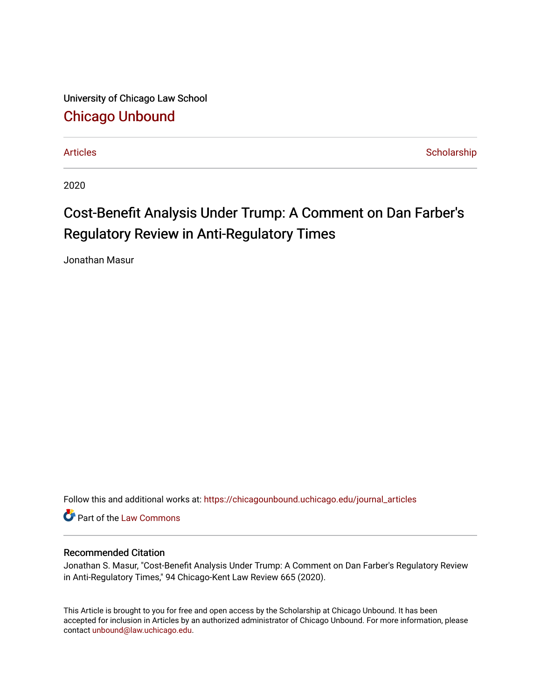University of Chicago Law School [Chicago Unbound](https://chicagounbound.uchicago.edu/)

[Articles](https://chicagounbound.uchicago.edu/journal_articles) **Scholarship** Scholarship

2020

# Cost-Benefit Analysis Under Trump: A Comment on Dan Farber's Regulatory Review in Anti-Regulatory Times

Jonathan Masur

Follow this and additional works at: [https://chicagounbound.uchicago.edu/journal\\_articles](https://chicagounbound.uchicago.edu/journal_articles?utm_source=chicagounbound.uchicago.edu%2Fjournal_articles%2F10075&utm_medium=PDF&utm_campaign=PDFCoverPages) 

Part of the [Law Commons](http://network.bepress.com/hgg/discipline/578?utm_source=chicagounbound.uchicago.edu%2Fjournal_articles%2F10075&utm_medium=PDF&utm_campaign=PDFCoverPages)

## Recommended Citation

Jonathan S. Masur, "Cost-Benefit Analysis Under Trump: A Comment on Dan Farber's Regulatory Review in Anti-Regulatory Times," 94 Chicago-Kent Law Review 665 (2020).

This Article is brought to you for free and open access by the Scholarship at Chicago Unbound. It has been accepted for inclusion in Articles by an authorized administrator of Chicago Unbound. For more information, please contact [unbound@law.uchicago.edu](mailto:unbound@law.uchicago.edu).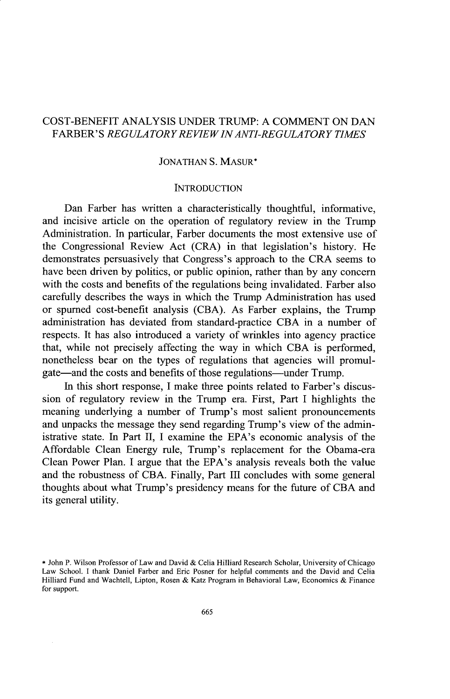# COST-BENEFIT ANALYSIS **UNDER** TRUMP: A COMMENT ON DAN FARBER' S *REGULA TORY REVIEWIN ANTI-REGULA TORY TIMES*

#### JONATHAN S. **MASUR\***

### **INTRODUCTION**

Dan Farber has written a characteristically thoughtful, informative, and incisive article on the operation of regulatory review in the Trump Administration. In particular, Farber documents the most extensive use of the Congressional Review Act (CRA) in that legislation's history. He demonstrates persuasively that Congress's approach to the CRA seems to have been driven by politics, or public opinion, rather than by any concern with the costs and benefits of the regulations being invalidated. Farber also carefully describes the ways in which the Trump Administration has used or spurned cost-benefit analysis (CBA). As Farber explains, the Trump administration has deviated from standard-practice CBA in a number of respects. It has also introduced a variety of wrinkles into agency practice that, while not precisely affecting the way in which CBA is performed, nonetheless bear on the types of regulations that agencies will promulgate—and the costs and benefits of those regulations—under Trump.

In this short response, I make three points related to Farber's discussion of regulatory review in the Trump era. First, Part I highlights the meaning underlying a number of Trump's most salient pronouncements and unpacks the message they send regarding Trump's view of the administrative state. In Part II, I examine the EPA's economic analysis of the Affordable Clean Energy rule, Trump's replacement for the Obama-era Clean Power Plan. I argue that the EPA's analysis reveals both the value and the robustness of CBA. Finally, Part III concludes with some general thoughts about what Trump's presidency means for the future of CBA and its general utility.

<sup>\*</sup> John P. Wilson Professor of Law and David & Celia Hilliard Research Scholar, University of Chicago Law School. I thank Daniel Farber and Eric Posner for helpful comments and the David and Celia Hilliard Fund and Wachtell, Lipton, Rosen & Katz Program in Behavioral Law, Economics & Finance for support.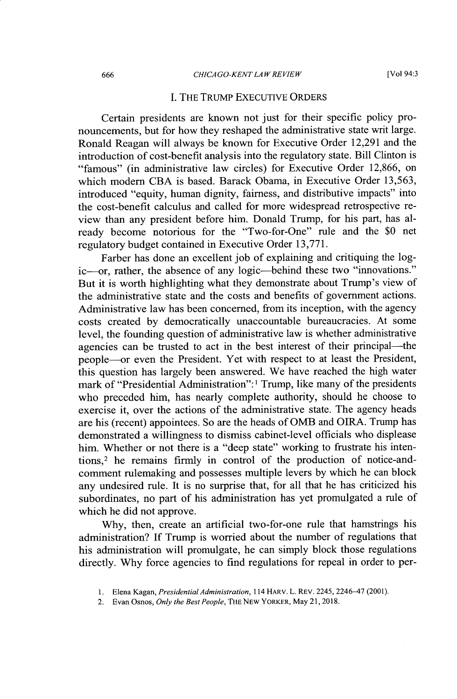#### I. THE TRUMP EXECUTIVE ORDERS

Certain presidents are known not just for their specific policy pronouncements, but for how they reshaped the administrative state writ large. Ronald Reagan will always be known for Executive Order 12,291 and the introduction of cost-benefit analysis into the regulatory state. Bill Clinton is "famous" (in administrative law circles) for Executive Order 12,866, on which modem CBA is based. Barack Obama, in Executive Order 13,563, introduced "equity, human dignity, fairness, and distributive impacts" into the cost-benefit calculus and called for more widespread retrospective review than any president before him. Donald Trump, for his part, has already become notorious for the "Two-for-One" rule and the \$0 net regulatory budget contained in Executive Order 13,771.

Farber has done an excellent job of explaining and critiquing the logic--or, rather, the absence of any logic--behind these two "innovations." But it is worth highlighting what they demonstrate about Trump's view of the administrative state and the costs and benefits of government actions. Administrative law has been concerned, from its inception, with the agency costs created by democratically unaccountable bureaucracies. At some level, the founding question of administrative law is whether administrative agencies can be trusted to act in the best interest of their principal—the people--or even the President. Yet with respect to at least the President, this question has largely been answered. We have reached the high water mark of "Presidential Administration":<sup>1</sup> Trump, like many of the presidents who preceded him, has nearly complete authority, should he choose to exercise it, over the actions of the administrative state. The agency heads are his (recent) appointees. So are the heads of OMB and OIRA. Trump has demonstrated a willingness to dismiss cabinet-level officials who displease him. Whether or not there is a "deep state" working to frustrate his intentions,<sup>2</sup> he remains firmly in control of the production of notice-andcomment rulemaking and possesses multiple levers by which he can block any undesired rule. It is no surprise that, for all that he has criticized his subordinates, no part of his administration has yet promulgated a rule of which he did not approve.

Why, then, create an artificial two-for-one rule that hamstrings his administration? If Trump is worried about the number of regulations that his administration will promulgate, he can simply block those regulations directly. Why force agencies to find regulations for repeal in order to per-

<sup>1.</sup> Elena Kagan, *Presidential Administration,* 114 HARV. L. REV. 2245, 2246-47 (2001).

<sup>2.</sup> Evan Osnos, *Only the Best People,* THE NEW YORKER, May 21, 2018.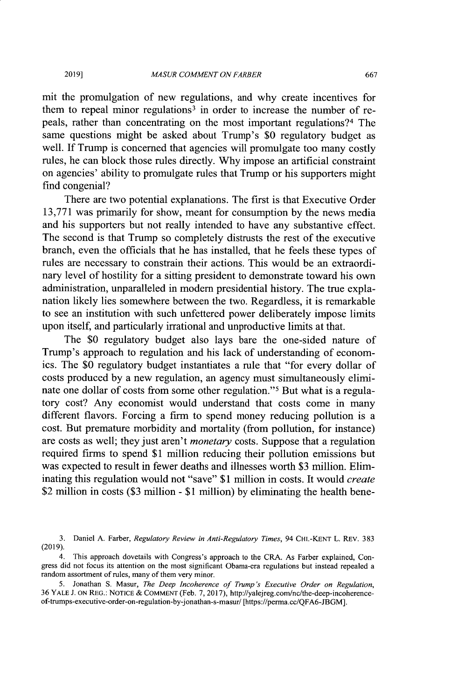mit the promulgation of new regulations, and why create incentives for them to repeal minor regulations<sup>3</sup> in order to increase the number of repeals, rather than concentrating on the most important regulations?<sup>4</sup> The same questions might be asked about Trump's \$0 regulatory budget as well. If Trump is concerned that agencies will promulgate too many costly rules, he can block those rules directly. Why impose an artificial constraint on agencies' ability to promulgate rules that Trump or his supporters might find congenial?

There are two potential explanations. The first is that Executive Order 13,771 was primarily for show, meant for consumption by the news media and his supporters but not really intended to have any substantive effect. The second is that Trump so completely distrusts the rest of the executive branch, even the officials that he has installed, that he feels these types of rules are necessary to constrain their actions. This would be an extraordinary level of hostility for a sitting president to demonstrate toward his own administration, unparalleled in modem presidential history. The true explanation likely lies somewhere between the two. Regardless, it is remarkable to see an institution with such unfettered power deliberately impose limits upon itself, and particularly irrational and unproductive limits at that.

The \$0 regulatory budget also lays bare the one-sided nature of Trump's approach to regulation and his lack of understanding of economics. The \$0 regulatory budget instantiates a rule that "for every dollar of costs produced by a new regulation, an agency must simultaneously eliminate one dollar of costs from some other regulation."<sup>5</sup> But what is a regulatory cost? Any economist would understand that costs come in many different flavors. Forcing a firm to spend money reducing pollution is a cost. But premature morbidity and mortality (from pollution, for instance) are costs as well; they just aren't *monetary* costs. Suppose that a regulation required firms to spend \$1 million reducing their pollution emissions but was expected to result in fewer deaths and illnesses worth \$3 million. Eliminating this regulation would not "save" \$1 million in costs. It would *create* \$2 million in costs (\$3 million - \$1 million) by eliminating the health bene-

**2019]**

<sup>3.</sup> Daniel A. Farber, *Regulatory Review in Anti-Regulatory Times,* 94 CHI-KENT L. REV. 383 (2019).

<sup>4.</sup> This approach dovetails with Congress's approach to the CRA. As Farber explained, Congress did not focus its attention on the most significant Obama-era regulations but instead repealed a random assortment of rules, many of them very minor.

<sup>5.</sup> Jonathan **S.** Masur, *The Deep Incoherence of Trump's Executive Order on Regulation,* 36 YALE **J.** ON REG.: NOTICE & COMMENT (Feb. 7, 2017), http://yalejreg.com/nc/the-deep-incoherenceof-trumps-executive-order-on-regulation-by-jonathan-s-masur/ [https://perma.ec/QFA6-JBGM].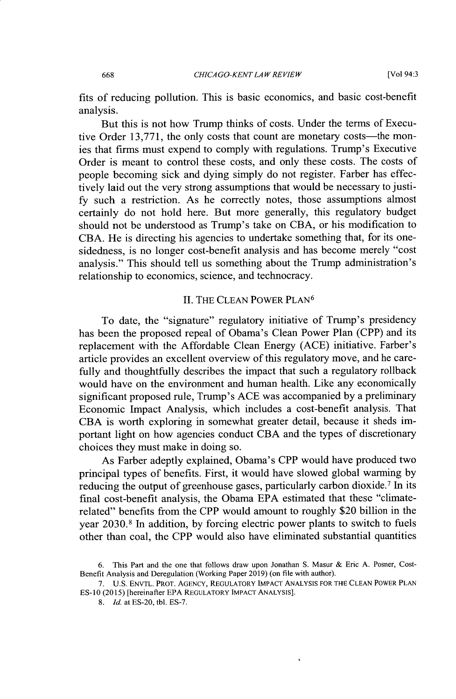[Vol 94:3

fits of reducing pollution. This is basic economics, and basic cost-benefit analysis.

But this is not how Trump thinks of costs. Under the terms of Executive Order 13,771, the only costs that count are monetary costs—the monies that firms must expend to comply with regulations. Trump's Executive Order is meant to control these costs, and only these costs. The costs of people becoming sick and dying simply do not register. Farber has effectively laid out the very strong assumptions that would be necessary to justify such a restriction. As he correctly notes, those assumptions almost certainly do not hold here. But more generally, this regulatory budget should not be understood as Trump's take on CBA, or his modification to CBA. He is directing his agencies to undertake something that, for its onesidedness, is no longer cost-benefit analysis and has become merely "cost analysis." This should tell us something about the Trump administration's relationship to economics, science, and technocracy.

#### II. THE CLEAN POWER PLAN<sup>6</sup>

To date, the "signature" regulatory initiative of Trump's presidency has been the proposed repeal of Obama's Clean Power Plan (CPP) and its replacement with the Affordable Clean Energy (ACE) initiative. Farber's article provides an excellent overview of this regulatory move, and he carefully and thoughtfully describes the impact that such a regulatory rollback would have on the environment and human health. Like any economically significant proposed rule, Trump's ACE was accompanied by a preliminary Economic Impact Analysis, which includes a cost-benefit analysis. That CBA is worth exploring in somewhat greater detail, because it sheds important light on how agencies conduct CBA and the types of discretionary choices they must make in doing so.

As Farber adeptly explained, Obama's CPP would have produced two principal types of benefits. First, it would have slowed global warming by reducing the output of greenhouse gases, particularly carbon dioxide.<sup>7</sup> In its final cost-benefit analysis, the Obama EPA estimated that these "climaterelated" benefits from the CPP would amount to roughly \$20 billion in the year 2030.8 In addition, by forcing electric power plants to switch to fuels other than coal, the CPP would also have eliminated substantial quantities

668

<sup>6.</sup> This Part and the one that follows draw upon Jonathan S. Masur & Eric A. Posner, Cost-Benefit Analysis and Deregulation (Working Paper 2019) (on file with author).

<sup>7.</sup> U.S. ENVTL. PROT. AGENCY, REGULATORY IMPACT ANALYSIS FOR THE CLEAN POWER PLAN **ES-10** (2015) [hereinafter EPA REGULATORY IMPACT ANALYSIS].

<sup>8.</sup> *Id.* at ES-20, tbl. ES-7.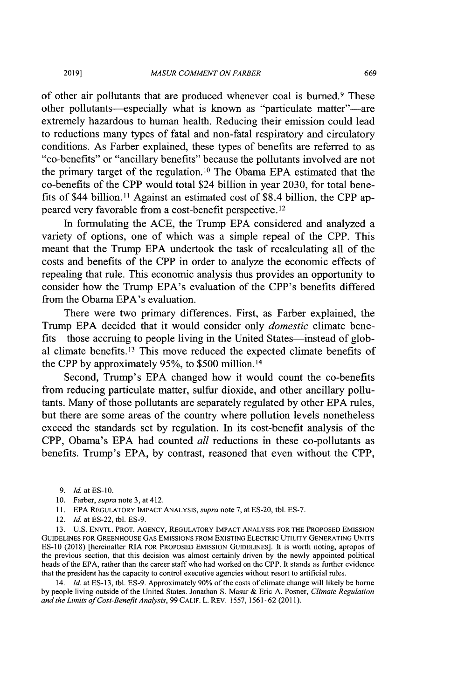of other air pollutants that are produced whenever coal is burned.<sup>9</sup> These other pollutants—especially what is known as "particulate matter"—are extremely hazardous to human health. Reducing their emission could lead to reductions many types of fatal and non-fatal respiratory and circulatory conditions. As Farber explained, these types of benefits are referred to as "co-benefits" or "ancillary benefits" because the pollutants involved are not the primary target of the regulation.10 The Obama EPA estimated that the co-benefits of the CPP would total \$24 billion in year 2030, for total benefits of \$44 billion. **I** Against an estimated cost of \$8.4 billion, the CPP appeared very favorable from a cost-benefit perspective. <sup>12</sup>

In formulating the ACE, the Trump EPA considered and analyzed a variety of options, one of which was a simple repeal of the CPP. This meant that the Trump EPA undertook the task of recalculating all of the costs and benefits of the CPP in order to analyze the economic effects of repealing that rule. This economic analysis thus provides an opportunity to consider how the Trump EPA's evaluation of the CPP's benefits differed from the Obama EPA's evaluation.

There were two primary differences. First, as Farber explained, the Trump EPA decided that it would consider only *domestic* climate benefits—those accruing to people living in the United States—instead of global climate benefits.<sup>13</sup> This move reduced the expected climate benefits of the CPP by approximately 95%, to \$500 million. 14

Second, Trump's EPA changed how it would count the co-benefits from reducing particulate matter, sulfur dioxide, and other ancillary pollutants. Many of those pollutants are separately regulated by other EPA rules, but there are some areas of the country where pollution levels nonetheless exceed the standards set by regulation. In its cost-benefit analysis of the CPP, Obama's EPA had counted *all* reductions in these co-pollutants as benefits. Trump's EPA, by contrast, reasoned that even without the CPP,

**2019]**

10. Farber, *supra* note 3, at 412.

13. U.S. ENVTL. PROT. AGENCY, REGULATORY IMPACT ANALYSIS FOR THE PROPOSED EMISSION GUIDELINES FOR GREENHOUSE GAS EMISSIONS FROM EXISTING ELECTRIC UTILITY GENERATING UNITS ES-10 (2018) [hereinafter RIA FOR PROPOSED EMISSION GUIDELINES]. It is worth noting, apropos of the previous section, that this decision was almost certainly driven by the newly appointed political heads of the EPA, rather than the career staff who had worked on the CPP. It stands as further evidence that the president has the capacity to control executive agencies without resort to artificial rules.

14. *Id.* at ES-13, tbl. ES-9. Approximately 90% of the costs of climate change will likely be borne by people living outside of the United States. Jonathan S. Masur & Eric A. Posner, *Climate Regulation and the Limits of Cost-Benefit Analysis,* 99 CALIF. L. REv. 1557, 1561-62 (2011).

*<sup>9.</sup> Id.* atES-10.

<sup>11.</sup> EPA REGULATORY IMPACT ANALYSIS, *supra* note 7, at ES-20, tbl. ES-7.

<sup>12.</sup> *Id.* at ES-22, tbl. ES-9.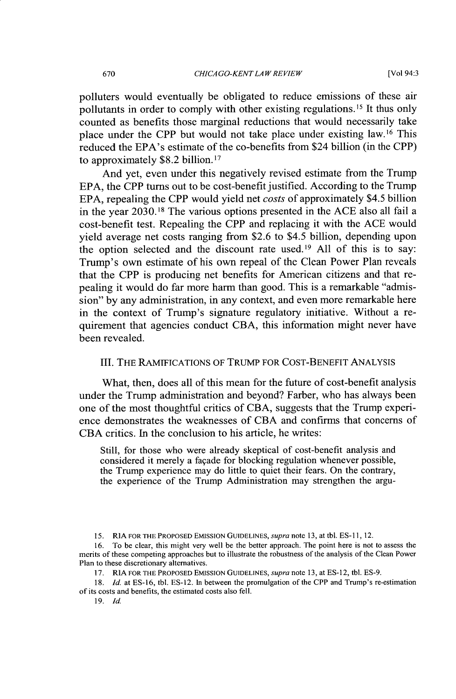polluters would eventually be obligated to reduce emissions of these air pollutants in order to comply with other existing regulations. **I <sup>5</sup>**It thus only counted as benefits those marginal reductions that would necessarily take place under the CPP but would not take place under existing law. 16 This reduced the EPA's estimate of the co-benefits from \$24 billion (in the CPP) to approximately \$8.2 billion. **<sup>17</sup>**

And yet, even under this negatively revised estimate from the Trump EPA, the CPP turns out to be cost-benefit justified. According to the Trump EPA, repealing the CPP would yield net *costs* of approximately \$4.5 billion in the year 2030.18 The various options presented in the ACE also all fail a cost-benefit test. Repealing the CPP and replacing it with the ACE would yield average net costs ranging from \$2.6 to \$4.5 billion, depending upon the option selected and the discount rate used.<sup>19</sup> All of this is to say: Trump's own estimate of his own repeal of the Clean Power Plan reveals that the CPP is producing net benefits for American citizens and that repealing it would do far more harm than good. This is a remarkable "admission" by any administration, in any context, and even more remarkable here in the context of Trump's signature regulatory initiative. Without a requirement that agencies conduct CBA, this information might never have been revealed.

### **111.** THE RAMIFICATIONS OF TRUMP FOR COST-BENEFIT ANALYSIS

What, then, does all of this mean for the future of cost-benefit analysis under the Trump administration and beyond? Farber, who has always been one of the most thoughtful critics of CBA, suggests that the Trump experience demonstrates the weaknesses of CBA and confirms that concerns of CBA critics. In the conclusion to his article, he writes:

Still, for those who were already skeptical of cost-benefit analysis and considered it merely a fagade for blocking regulation whenever possible, the Trump experience may do little to quiet their fears. On the contrary, the experience of the Trump Administration may strengthen the argu-

<sup>15.</sup> RIA FOR THE PROPOSED EMISSION GUIDELINES, *supra* note 13, at tbl. ES-i **1,** 12.

<sup>16.</sup> To be clear, this might very well be the better approach. The point here is not to assess the merits of these competing approaches but to illustrate the robustness of the analysis of the Clean Power Plan to these discretionary alternatives.

<sup>17.</sup> RIA **FOR** THE PROPOSED EMISSION GUIDELINES, *supra* note **13,** at *ES-12,* tbl. ES-9.

<sup>18.</sup> *Id.* at ES-16, tbl. ES-12. In between the promulgation of the CPP and Trump's re-estimation of its costs and benefits, the estimated costs also fell.

<sup>19.</sup> *Id.*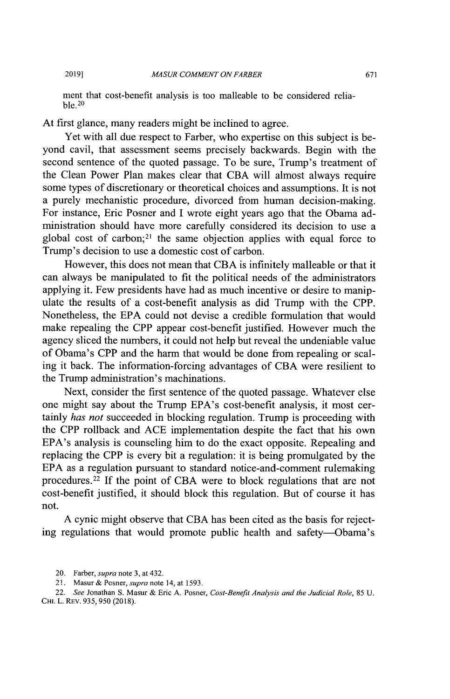**2019]**

ment that cost-benefit analysis is too malleable to be considered relia $ble<sub>.20</sub>$ 

At first glance, many readers might be inclined to agree.

Yet with all due respect to Farber, who expertise on this subject is beyond cavil, that assessment seems precisely backwards. Begin with the second sentence of the quoted passage. To be sure, Trump's treatment of the Clean Power Plan makes clear that CBA will almost always require some types of discretionary or theoretical choices and assumptions. It is not a purely mechanistic procedure, divorced from human decision-making. For instance, Eric Posner and I wrote eight years ago that the Obama administration should have more carefully considered its decision to use a global cost of carbon;<sup>21</sup> the same objection applies with equal force to Trump's decision to use a domestic cost of carbon.

However, this does not mean that CBA is infinitely malleable or that it can always be manipulated to fit the political needs of the administrators applying it. Few presidents have had as much incentive or desire to manipulate the results of a cost-benefit analysis as did Trump with the CPP. Nonetheless, the EPA could not devise a credible formulation that would make repealing the CPP appear cost-benefit justified. However much the agency sliced the numbers, it could not help but reveal the undeniable value of Obama's CPP and the harm that would be done from repealing or scaling it back. The information-forcing advantages of CBA were resilient to the Trump administration's machinations.

Next, consider the first sentence of the quoted passage. Whatever else one might say about the Trump EPA's cost-benefit analysis, it most certainly *has not* succeeded in blocking regulation. Trump is proceeding with the CPP rollback and ACE implementation despite the fact that his own EPA's analysis is counseling him to do the exact opposite. Repealing and replacing the CPP is every bit a regulation: it is being promulgated by the EPA as a regulation pursuant to standard notice-and-comment rulemaking procedures. 22 If the point of CBA were to block regulations that are not cost-benefit justified, it should block this regulation. But of course it has not.

A cynic might observe that CBA has been cited as the basis for rejecting regulations that would promote public health and safety-Obama's

<sup>20.</sup> Farber, *supra* note 3, at 432.

<sup>21.</sup> Masur & Posner, *supra* note 14, at 1593.

<sup>22.</sup> *See* Jonathan **S.** Masur & Eric A. Posner, *Cost-Benefit Analysis and the Judicial Role,* 85 U. CHI. L. REV. 935, 950 (2018).